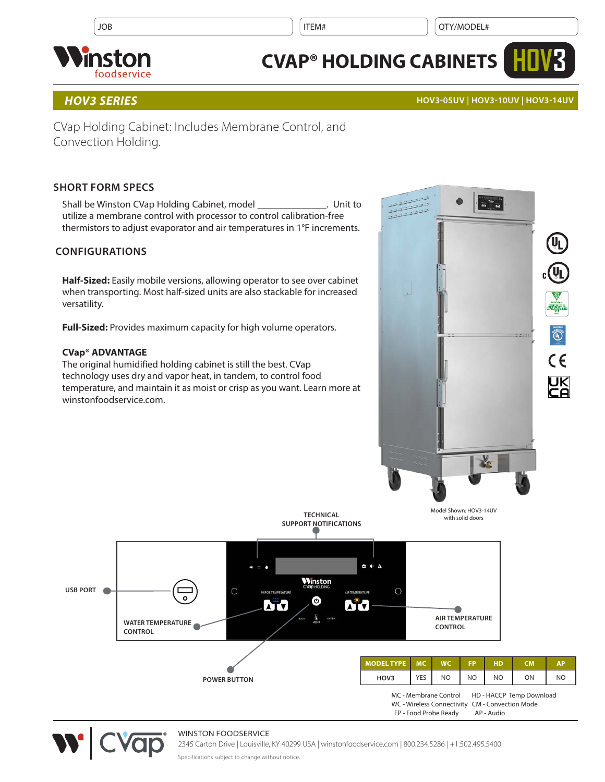$JOB$  is a set of the set of the set of the set of the set of the set of the set of the set of the set of the set of the set of the set of the set of the set of the set of the set of the set of the set of the set of the se



# **CVAP® HOLDING CABINETS**

# *HOV3 SERIES* **HOV3-05UV | HOV3-10UV | HOV3-14UV**

**HOV3**

CVap Holding Cabinet: Includes Membrane Control, and Convection Holding.

# **SHORT FORM SPECS**

Shall be Winston CVap Holding Cabinet, model \_\_\_\_\_\_\_\_\_\_\_\_\_\_. Unit to utilize a membrane control with processor to control calibration-free thermistors to adjust evaporator and air temperatures in 1°F increments.

# **CONFIGURATIONS**

**Half-Sized:** Easily mobile versions, allowing operator to see over cabinet when transporting. Most half-sized units are also stackable for increased versatility.

**Full-Sized:** Provides maximum capacity for high volume operators.

## **CVap® ADVANTAGE**

The original humidified holding cabinet is still the best. CVap technology uses dry and vapor heat, in tandem, to control food temperature, and maintain it as moist or crisp as you want. Learn more at winstonfoodservice.com.





### WINSTON FOODSERVICE

2345 Carton Drive | Louisville, KY 40299 USA | winstonfoodservice.com | 800.234.5286 | +1.502.495.5400

Specifications subject to change without notice.